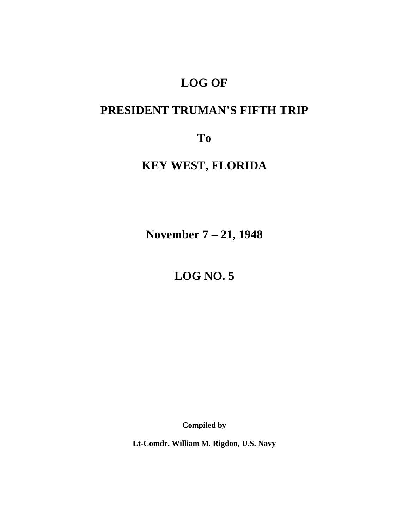# **LOG OF**

# **PRESIDENT TRUMAN'S FIFTH TRIP**

**To** 

# **KEY WEST, FLORIDA**

**November 7 – 21, 1948** 

**LOG NO. 5** 

**Compiled by** 

**Lt-Comdr. William M. Rigdon, U.S. Navy**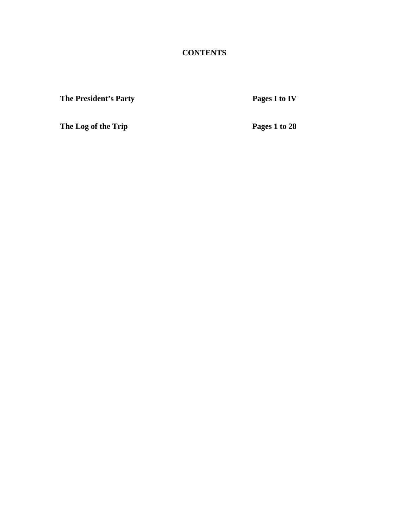**CONTENTS** 

**The President's Party Pages I to IV Pages I to IV** 

**The Log of the Trip Pages 1 to 28**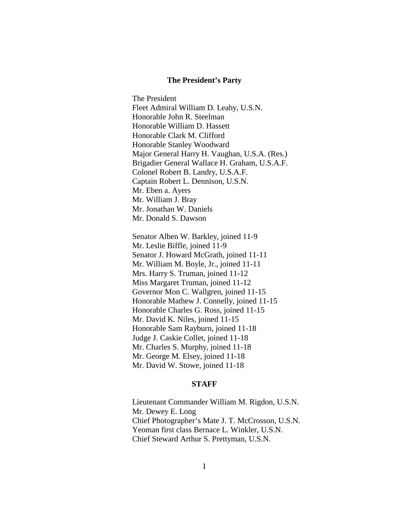#### **The President's Party**

The President Fleet Admiral William D. Leahy, U.S.N. Honorable John R. Steelman Honorable William D. Hassett Honorable Clark M. Clifford Honorable Stanley Woodward Major General Harry H. Vaughan, U.S.A. (Res.) Brigadier General Wallace H. Graham, U.S.A.F. Colonel Robert B. Landry, U.S.A.F. Captain Robert L. Dennison, U.S.N. Mr. Eben a. Ayers Mr. William J. Bray Mr. Jonathan W. Daniels Mr. Donald S. Dawson

 Senator Alben W. Barkley, joined 11-9 Mr. Leslie Biffle, joined 11-9 Senator J. Howard McGrath, joined 11-11 Mr. William M. Boyle, Jr., joined 11-11 Mrs. Harry S. Truman, joined 11-12 Miss Margaret Truman, joined 11-12 Governor Mon C. Wallgren, joined 11-15 Honorable Mathew J. Connelly, joined 11-15 Honorable Charles G. Ross, joined 11-15 Mr. David K. Niles, joined 11-15 Honorable Sam Rayburn, joined 11-18 Judge J. Caskie Collet, joined 11-18 Mr. Charles S. Murphy, joined 11-18 Mr. George M. Elsey, joined 11-18 Mr. David W. Stowe, joined 11-18

#### **STAFF**

Lieutenant Commander William M. Rigdon, U.S.N. Mr. Dewey E. Long Chief Photographer's Mate J. T. McCrosson, U.S.N. Yeoman first class Bernace L. Winkler, U.S.N. Chief Steward Arthur S. Prettyman, U.S.N.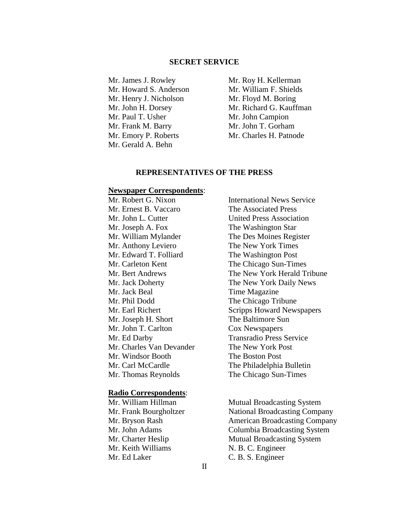## **SECRET SERVICE**

Mr. James J. Rowley Mr. Roy H. Kellerman Mr. Howard S. Anderson Mr. William F. Shields Mr. Henry J. Nicholson Mr. Floyd M. Boring Mr. Paul T. Usher Mr. John Campion Mr. Frank M. Barry Mr. John T. Gorham Mr. Emory P. Roberts Mr. Charles H. Patnode Mr. Gerald A. Behn

Mr. John H. Dorsey Mr. Richard G. Kauffman

## **REPRESENTATIVES OF THE PRESS**

## **Newspaper Correspondents**:

 Mr. Ernest B. Vaccaro The Associated Press Mr. John L. Cutter United Press Association Mr. Joseph A. Fox The Washington Star Mr. Anthony Leviero The New York Times Mr. Edward T. Folliard The Washington Post Mr. Carleton Kent The Chicago Sun-Times Mr. Jack Beal Time Magazine Mr. Phil Dodd The Chicago Tribune Mr. Joseph H. Short The Baltimore Sun Mr. John T. Carlton Cox Newspapers Mr. Ed Darby Transradio Press Service Mr. Charles Van Devander The New York Post Mr. Windsor Booth The Boston Post Mr. Thomas Reynolds The Chicago Sun-Times

#### **Radio Correspondents**:

Mr. Keith Williams N. B. C. Engineer

Mr. Robert G. Nixon International News Service Mr. William Mylander The Des Moines Register Mr. Bert Andrews The New York Herald Tribune Mr. Jack Doherty The New York Daily News Mr. Earl Richert Scripps Howard Newspapers Mr. Carl McCardle The Philadelphia Bulletin

Mr. William Hillman Mutual Broadcasting System Mr. Frank Bourgholtzer National Broadcasting Company Mr. Bryson Rash American Broadcasting Company Mr. John Adams Columbia Broadcasting System Mr. Charter Heslip Mutual Broadcasting System Mr. Ed Laker C. B. S. Engineer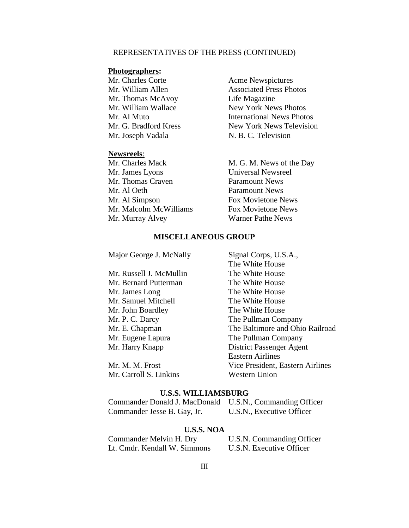#### REPRESENTATIVES OF THE PRESS (CONTINUED)

## **Photographers:**

Mr. Charles Corte **Acme Newspictures** Mr. Thomas McAvoy Life Magazine Mr. Joseph Vadala N. B. C. Television

#### **Newsreels**:

 Mr. James Lyons Universal Newsreel Mr. Thomas Craven Paramount News Mr. Al Oeth Paramount News Mr. Al Simpson Fox Movietone News Mr. Malcolm McWilliams Fox Movietone News Mr. Murray Alvey Warner Pathe News

Mr. William Allen Associated Press Photos Mr. William Wallace New York News Photos Mr. Al Muto International News Photos Mr. G. Bradford Kress New York News Television

Mr. Charles Mack M. G. M. News of the Day

### **MISCELLANEOUS GROUP**

Major George J. McNally Signal Corps, U.S.A., The White House Mr. Russell J. McMullin The White House Mr. Bernard Putterman The White House Mr. James Long The White House Mr. Samuel Mitchell The White House Mr. John Boardley The White House Mr. P. C. Darcy The Pullman Company Mr. E. Chapman The Baltimore and Ohio Railroad Mr. Eugene Lapura The Pullman Company Mr. Harry Knapp District Passenger Agent Eastern Airlines Mr. M. M. Frost Vice President, Eastern Airlines Mr. Carroll S. Linkins Western Union

#### **U.S.S. WILLIAMSBURG**

| Commander Donald J. MacDonald U.S.N., Commanding Officer |                           |
|----------------------------------------------------------|---------------------------|
| Commander Jesse B. Gay, Jr.                              | U.S.N., Executive Officer |

## **U.S.S. NOA**

| Commander Melvin H. Dry      |  |  |
|------------------------------|--|--|
| Lt. Cmdr. Kendall W. Simmons |  |  |

U.S.N. Commanding Officer U.S.N. Executive Officer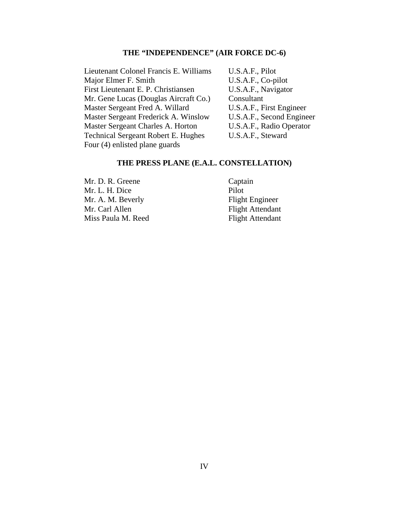## **THE "INDEPENDENCE" (AIR FORCE DC-6)**

Lieutenant Colonel Francis E. Williams U.S.A.F., Pilot Major Elmer F. Smith U.S.A.F., Co-pilot First Lieutenant E. P. Christiansen U.S.A.F., Navigator Mr. Gene Lucas (Douglas Aircraft Co.) Consultant Master Sergeant Fred A. Willard U.S.A.F., First Engineer Master Sergeant Frederick A. Winslow U.S.A.F., Second Engineer Master Sergeant Charles A. Horton U.S.A.F., Radio Operator Technical Sergeant Robert E. Hughes U.S.A.F., Steward Four (4) enlisted plane guards

## **THE PRESS PLANE (E.A.L. CONSTELLATION)**

Mr. D. R. Greene Captain Mr. L. H. Dice Pilot Mr. A. M. Beverly Flight Engineer Mr. Carl Allen Flight Attendant Miss Paula M. Reed Flight Attendant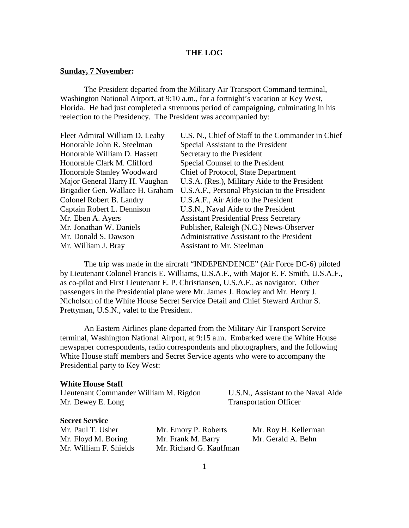### **THE LOG**

#### **Sunday, 7 November:**

The President departed from the Military Air Transport Command terminal, Washington National Airport, at 9:10 a.m., for a fortnight's vacation at Key West, Florida. He had just completed a strenuous period of campaigning, culminating in his reelection to the Presidency. The President was accompanied by:

| Fleet Admiral William D. Leahy   | U.S. N., Chief of Staff to the Commander in Chief |
|----------------------------------|---------------------------------------------------|
| Honorable John R. Steelman       | Special Assistant to the President                |
| Honorable William D. Hassett     | Secretary to the President                        |
| Honorable Clark M. Clifford      | Special Counsel to the President                  |
| Honorable Stanley Woodward       | Chief of Protocol, State Department               |
| Major General Harry H. Vaughan   | U.S.A. (Res.), Military Aide to the President     |
| Brigadier Gen. Wallace H. Graham | U.S.A.F., Personal Physician to the President     |
| Colonel Robert B. Landry         | U.S.A.F., Air Aide to the President               |
| Captain Robert L. Dennison       | U.S.N., Naval Aide to the President               |
| Mr. Eben A. Ayers                | <b>Assistant Presidential Press Secretary</b>     |
| Mr. Jonathan W. Daniels          | Publisher, Raleigh (N.C.) News-Observer           |
| Mr. Donald S. Dawson             | Administrative Assistant to the President         |
| Mr. William J. Bray              | <b>Assistant to Mr. Steelman</b>                  |
|                                  |                                                   |

 The trip was made in the aircraft "INDEPENDENCE" (Air Force DC-6) piloted by Lieutenant Colonel Francis E. Williams, U.S.A.F., with Major E. F. Smith, U.S.A.F., as co-pilot and First Lieutenant E. P. Christiansen, U.S.A.F., as navigator. Other passengers in the Presidential plane were Mr. James J. Rowley and Mr. Henry J. Nicholson of the White House Secret Service Detail and Chief Steward Arthur S. Prettyman, U.S.N., valet to the President.

 An Eastern Airlines plane departed from the Military Air Transport Service terminal, Washington National Airport, at 9:15 a.m. Embarked were the White House newspaper correspondents, radio correspondents and photographers, and the following White House staff members and Secret Service agents who were to accompany the Presidential party to Key West:

#### **White House Staff**

Lieutenant Commander William M. Rigdon U.S.N., Assistant to the Naval Aide Mr. Dewey E. Long Transportation Officer

## **Secret Service**

Mr. Floyd M. Boring Mr. Frank M. Barry Mr. Gerald A. Behn Mr. William F. Shields Mr. Richard G. Kauffman

Mr. Paul T. Usher Mr. Emory P. Roberts Mr. Roy H. Kellerman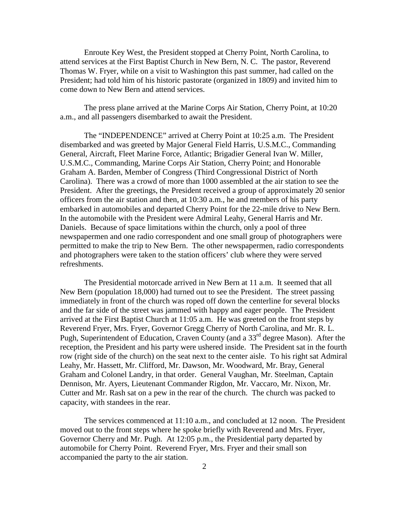Enroute Key West, the President stopped at Cherry Point, North Carolina, to attend services at the First Baptist Church in New Bern, N. C. The pastor, Reverend Thomas W. Fryer, while on a visit to Washington this past summer, had called on the President; had told him of his historic pastorate (organized in 1809) and invited him to come down to New Bern and attend services.

 The press plane arrived at the Marine Corps Air Station, Cherry Point, at 10:20 a.m., and all passengers disembarked to await the President.

 The "INDEPENDENCE" arrived at Cherry Point at 10:25 a.m. The President disembarked and was greeted by Major General Field Harris, U.S.M.C., Commanding General, Aircraft, Fleet Marine Force, Atlantic; Brigadier General Ivan W. Miller, U.S.M.C., Commanding, Marine Corps Air Station, Cherry Point; and Honorable Graham A. Barden, Member of Congress (Third Congressional District of North Carolina). There was a crowd of more than 1000 assembled at the air station to see the President. After the greetings, the President received a group of approximately 20 senior officers from the air station and then, at 10:30 a.m., he and members of his party embarked in automobiles and departed Cherry Point for the 22-mile drive to New Bern. In the automobile with the President were Admiral Leahy, General Harris and Mr. Daniels. Because of space limitations within the church, only a pool of three newspapermen and one radio correspondent and one small group of photographers were permitted to make the trip to New Bern. The other newspapermen, radio correspondents and photographers were taken to the station officers' club where they were served refreshments.

 The Presidential motorcade arrived in New Bern at 11 a.m. It seemed that all New Bern (population 18,000) had turned out to see the President. The street passing immediately in front of the church was roped off down the centerline for several blocks and the far side of the street was jammed with happy and eager people. The President arrived at the First Baptist Church at 11:05 a.m. He was greeted on the front steps by Reverend Fryer, Mrs. Fryer, Governor Gregg Cherry of North Carolina, and Mr. R. L. Pugh, Superintendent of Education, Craven County (and a 33<sup>rd</sup> degree Mason). After the reception, the President and his party were ushered inside. The President sat in the fourth row (right side of the church) on the seat next to the center aisle. To his right sat Admiral Leahy, Mr. Hassett, Mr. Clifford, Mr. Dawson, Mr. Woodward, Mr. Bray, General Graham and Colonel Landry, in that order. General Vaughan, Mr. Steelman, Captain Dennison, Mr. Ayers, Lieutenant Commander Rigdon, Mr. Vaccaro, Mr. Nixon, Mr. Cutter and Mr. Rash sat on a pew in the rear of the church. The church was packed to capacity, with standees in the rear.

 The services commenced at 11:10 a.m., and concluded at 12 noon. The President moved out to the front steps where he spoke briefly with Reverend and Mrs. Fryer, Governor Cherry and Mr. Pugh. At 12:05 p.m., the Presidential party departed by automobile for Cherry Point. Reverend Fryer, Mrs. Fryer and their small son accompanied the party to the air station.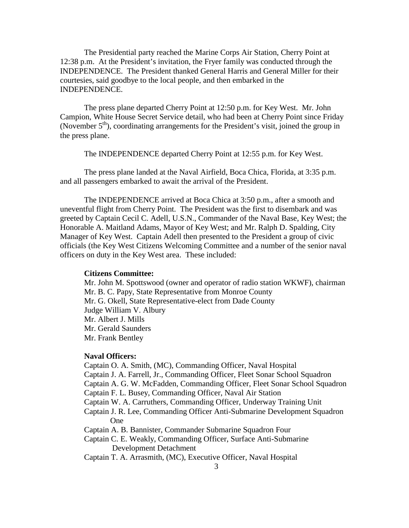The Presidential party reached the Marine Corps Air Station, Cherry Point at 12:38 p.m. At the President's invitation, the Fryer family was conducted through the INDEPENDENCE. The President thanked General Harris and General Miller for their courtesies, said goodbye to the local people, and then embarked in the INDEPENDENCE.

 The press plane departed Cherry Point at 12:50 p.m. for Key West. Mr. John Campion, White House Secret Service detail, who had been at Cherry Point since Friday (November  $5<sup>th</sup>$ ), coordinating arrangements for the President's visit, joined the group in the press plane.

The INDEPENDENCE departed Cherry Point at 12:55 p.m. for Key West.

 The press plane landed at the Naval Airfield, Boca Chica, Florida, at 3:35 p.m. and all passengers embarked to await the arrival of the President.

 The INDEPENDENCE arrived at Boca Chica at 3:50 p.m., after a smooth and uneventful flight from Cherry Point. The President was the first to disembark and was greeted by Captain Cecil C. Adell, U.S.N., Commander of the Naval Base, Key West; the Honorable A. Maitland Adams, Mayor of Key West; and Mr. Ralph D. Spalding, City Manager of Key West. Captain Adell then presented to the President a group of civic officials (the Key West Citizens Welcoming Committee and a number of the senior naval officers on duty in the Key West area. These included:

## **Citizens Committee:**

Mr. John M. Spottswood (owner and operator of radio station WKWF), chairman Mr. B. C. Papy, State Representative from Monroe County Mr. G. Okell, State Representative-elect from Dade County Judge William V. Albury Mr. Albert J. Mills Mr. Gerald Saunders Mr. Frank Bentley

## **Naval Officers:**

 Captain O. A. Smith, (MC), Commanding Officer, Naval Hospital Captain J. A. Farrell, Jr., Commanding Officer, Fleet Sonar School Squadron Captain A. G. W. McFadden, Commanding Officer, Fleet Sonar School Squadron Captain F. L. Busey, Commanding Officer, Naval Air Station Captain W. A. Carruthers, Commanding Officer, Underway Training Unit Captain J. R. Lee, Commanding Officer Anti-Submarine Development Squadron One Captain A. B. Bannister, Commander Submarine Squadron Four Captain C. E. Weakly, Commanding Officer, Surface Anti-Submarine Development Detachment Captain T. A. Arrasmith, (MC), Executive Officer, Naval Hospital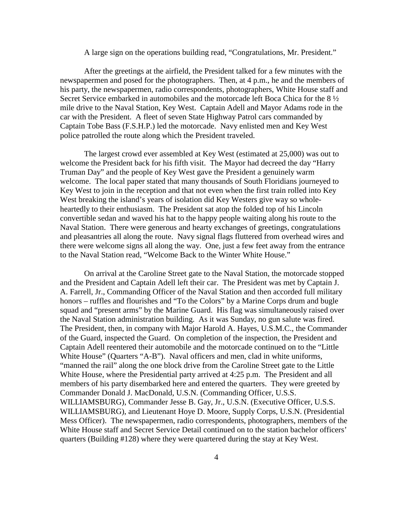#### A large sign on the operations building read, "Congratulations, Mr. President."

After the greetings at the airfield, the President talked for a few minutes with the newspapermen and posed for the photographers. Then, at 4 p.m., he and the members of his party, the newspapermen, radio correspondents, photographers, White House staff and Secret Service embarked in automobiles and the motorcade left Boca Chica for the 8 ½ mile drive to the Naval Station, Key West. Captain Adell and Mayor Adams rode in the car with the President. A fleet of seven State Highway Patrol cars commanded by Captain Tobe Bass (F.S.H.P.) led the motorcade. Navy enlisted men and Key West police patrolled the route along which the President traveled.

The largest crowd ever assembled at Key West (estimated at 25,000) was out to welcome the President back for his fifth visit. The Mayor had decreed the day "Harry Truman Day" and the people of Key West gave the President a genuinely warm welcome. The local paper stated that many thousands of South Floridians journeyed to Key West to join in the reception and that not even when the first train rolled into Key West breaking the island's years of isolation did Key Westers give way so wholeheartedly to their enthusiasm. The President sat atop the folded top of his Lincoln convertible sedan and waved his hat to the happy people waiting along his route to the Naval Station. There were generous and hearty exchanges of greetings, congratulations and pleasantries all along the route. Navy signal flags fluttered from overhead wires and there were welcome signs all along the way. One, just a few feet away from the entrance to the Naval Station read, "Welcome Back to the Winter White House."

On arrival at the Caroline Street gate to the Naval Station, the motorcade stopped and the President and Captain Adell left their car. The President was met by Captain J. A. Farrell, Jr., Commanding Officer of the Naval Station and then accorded full military honors – ruffles and flourishes and "To the Colors" by a Marine Corps drum and bugle squad and "present arms" by the Marine Guard. His flag was simultaneously raised over the Naval Station administration building. As it was Sunday, no gun salute was fired. The President, then, in company with Major Harold A. Hayes, U.S.M.C., the Commander of the Guard, inspected the Guard. On completion of the inspection, the President and Captain Adell reentered their automobile and the motorcade continued on to the "Little White House" (Quarters "A-B"). Naval officers and men, clad in white uniforms, "manned the rail" along the one block drive from the Caroline Street gate to the Little White House, where the Presidential party arrived at 4:25 p.m. The President and all members of his party disembarked here and entered the quarters. They were greeted by Commander Donald J. MacDonald, U.S.N. (Commanding Officer, U.S.S. WILLIAMSBURG), Commander Jesse B. Gay, Jr., U.S.N. (Executive Officer, U.S.S. WILLIAMSBURG), and Lieutenant Hoye D. Moore, Supply Corps, U.S.N. (Presidential Mess Officer). The newspapermen, radio correspondents, photographers, members of the White House staff and Secret Service Detail continued on to the station bachelor officers' quarters (Building #128) where they were quartered during the stay at Key West.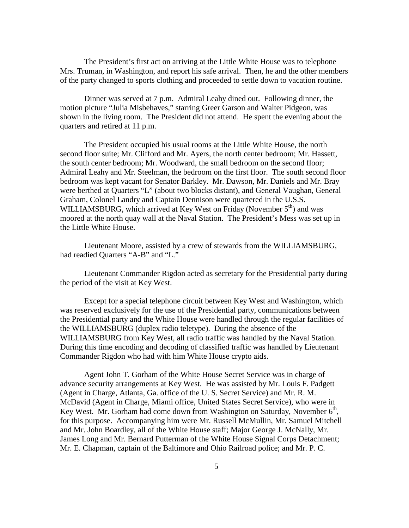The President's first act on arriving at the Little White House was to telephone Mrs. Truman, in Washington, and report his safe arrival. Then, he and the other members of the party changed to sports clothing and proceeded to settle down to vacation routine.

Dinner was served at 7 p.m. Admiral Leahy dined out. Following dinner, the motion picture "Julia Misbehaves," starring Greer Garson and Walter Pidgeon, was shown in the living room. The President did not attend. He spent the evening about the quarters and retired at 11 p.m.

The President occupied his usual rooms at the Little White House, the north second floor suite; Mr. Clifford and Mr. Ayers, the north center bedroom; Mr. Hassett, the south center bedroom; Mr. Woodward, the small bedroom on the second floor; Admiral Leahy and Mr. Steelman, the bedroom on the first floor. The south second floor bedroom was kept vacant for Senator Barkley. Mr. Dawson, Mr. Daniels and Mr. Bray were berthed at Quarters "L" (about two blocks distant), and General Vaughan, General Graham, Colonel Landry and Captain Dennison were quartered in the U.S.S. WILLIAMSBURG, which arrived at Key West on Friday (November  $5<sup>th</sup>$ ) and was moored at the north quay wall at the Naval Station. The President's Mess was set up in the Little White House.

Lieutenant Moore, assisted by a crew of stewards from the WILLIAMSBURG, had readied Quarters "A-B" and "L."

Lieutenant Commander Rigdon acted as secretary for the Presidential party during the period of the visit at Key West.

Except for a special telephone circuit between Key West and Washington, which was reserved exclusively for the use of the Presidential party, communications between the Presidential party and the White House were handled through the regular facilities of the WILLIAMSBURG (duplex radio teletype). During the absence of the WILLIAMSBURG from Key West, all radio traffic was handled by the Naval Station. During this time encoding and decoding of classified traffic was handled by Lieutenant Commander Rigdon who had with him White House crypto aids.

Agent John T. Gorham of the White House Secret Service was in charge of advance security arrangements at Key West. He was assisted by Mr. Louis F. Padgett (Agent in Charge, Atlanta, Ga. office of the U. S. Secret Service) and Mr. R. M. McDavid (Agent in Charge, Miami office, United States Secret Service), who were in Key West. Mr. Gorham had come down from Washington on Saturday, November  $6<sup>th</sup>$ , for this purpose. Accompanying him were Mr. Russell McMullin, Mr. Samuel Mitchell and Mr. John Boardley, all of the White House staff; Major George J. McNally, Mr. James Long and Mr. Bernard Putterman of the White House Signal Corps Detachment; Mr. E. Chapman, captain of the Baltimore and Ohio Railroad police; and Mr. P. C.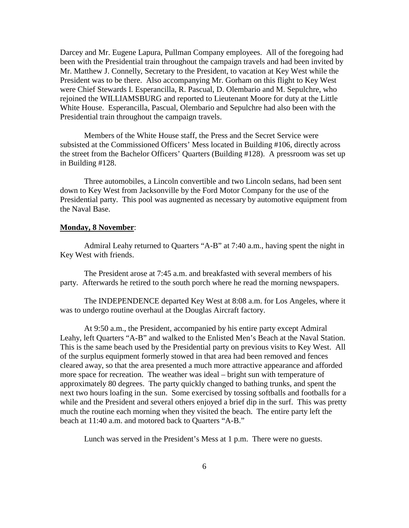Darcey and Mr. Eugene Lapura, Pullman Company employees. All of the foregoing had been with the Presidential train throughout the campaign travels and had been invited by Mr. Matthew J. Connelly, Secretary to the President, to vacation at Key West while the President was to be there. Also accompanying Mr. Gorham on this flight to Key West were Chief Stewards I. Esperancilla, R. Pascual, D. Olembario and M. Sepulchre, who rejoined the WILLIAMSBURG and reported to Lieutenant Moore for duty at the Little White House. Esperancilla, Pascual, Olembario and Sepulchre had also been with the Presidential train throughout the campaign travels.

 Members of the White House staff, the Press and the Secret Service were subsisted at the Commissioned Officers' Mess located in Building #106, directly across the street from the Bachelor Officers' Quarters (Building #128). A pressroom was set up in Building #128.

 Three automobiles, a Lincoln convertible and two Lincoln sedans, had been sent down to Key West from Jacksonville by the Ford Motor Company for the use of the Presidential party. This pool was augmented as necessary by automotive equipment from the Naval Base.

#### **Monday, 8 November**:

 Admiral Leahy returned to Quarters "A-B" at 7:40 a.m., having spent the night in Key West with friends.

 The President arose at 7:45 a.m. and breakfasted with several members of his party. Afterwards he retired to the south porch where he read the morning newspapers.

 The INDEPENDENCE departed Key West at 8:08 a.m. for Los Angeles, where it was to undergo routine overhaul at the Douglas Aircraft factory.

 At 9:50 a.m., the President, accompanied by his entire party except Admiral Leahy, left Quarters "A-B" and walked to the Enlisted Men's Beach at the Naval Station. This is the same beach used by the Presidential party on previous visits to Key West. All of the surplus equipment formerly stowed in that area had been removed and fences cleared away, so that the area presented a much more attractive appearance and afforded more space for recreation. The weather was ideal – bright sun with temperature of approximately 80 degrees. The party quickly changed to bathing trunks, and spent the next two hours loafing in the sun. Some exercised by tossing softballs and footballs for a while and the President and several others enjoyed a brief dip in the surf. This was pretty much the routine each morning when they visited the beach. The entire party left the beach at 11:40 a.m. and motored back to Quarters "A-B."

Lunch was served in the President's Mess at 1 p.m. There were no guests.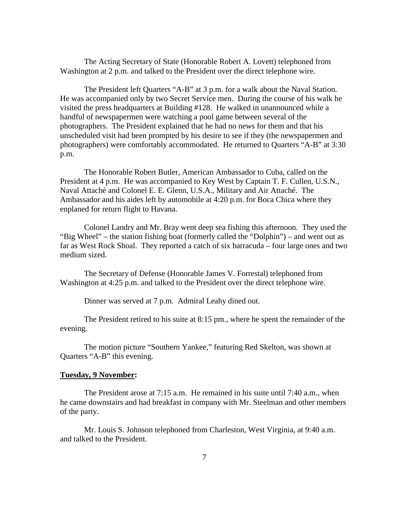The Acting Secretary of State (Honorable Robert A. Lovett) telephoned from Washington at 2 p.m. and talked to the President over the direct telephone wire.

 The President left Quarters "A-B" at 3 p.m. for a walk about the Naval Station. He was accompanied only by two Secret Service men. During the course of his walk he visited the press headquarters at Building #128. He walked in unannounced while a handful of newspapermen were watching a pool game between several of the photographers. The President explained that he had no news for them and that his unscheduled visit had been prompted by his desire to see if they (the newspapermen and photographers) were comfortably accommodated. He returned to Quarters "A-B" at 3:30 p.m.

 The Honorable Robert Butler, American Ambassador to Cuba, called on the President at 4 p.m. He was accompanied to Key West by Captain T. F. Cullen, U.S.N., Naval Attaché and Colonel E. E. Glenn, U.S.A., Military and Air Attaché. The Ambassador and his aides left by automobile at 4:20 p.m. for Boca Chica where they enplaned for return flight to Havana.

 Colonel Landry and Mr. Bray went deep sea fishing this afternoon. They used the "Big Wheel" – the station fishing boat (formerly called the "Dolphin") – and went out as far as West Rock Shoal. They reported a catch of six barracuda – four large ones and two medium sized.

 The Secretary of Defense (Honorable James V. Forrestal) telephoned from Washington at 4:25 p.m. and talked to the President over the direct telephone wire.

Dinner was served at 7 p.m. Admiral Leahy dined out.

 The President retired to his suite at 8:15 pm., where he spent the remainder of the evening.

 The motion picture "Southern Yankee," featuring Red Skelton, was shown at Quarters "A-B" this evening.

#### **Tuesday, 9 November:**

 The President arose at 7:15 a.m. He remained in his suite until 7:40 a.m., when he came downstairs and had breakfast in company with Mr. Steelman and other members of the party.

 Mr. Louis S. Johnson telephoned from Charleston, West Virginia, at 9:40 a.m. and talked to the President.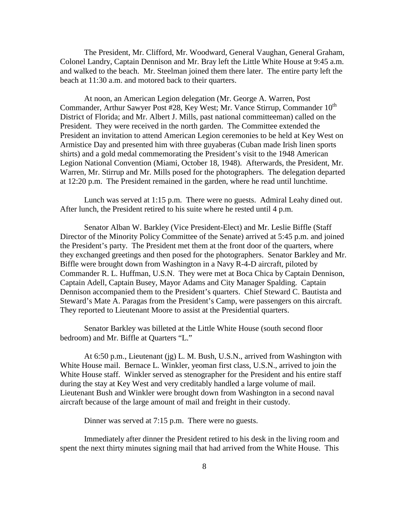The President, Mr. Clifford, Mr. Woodward, General Vaughan, General Graham, Colonel Landry, Captain Dennison and Mr. Bray left the Little White House at 9:45 a.m. and walked to the beach. Mr. Steelman joined them there later. The entire party left the beach at 11:30 a.m. and motored back to their quarters.

 At noon, an American Legion delegation (Mr. George A. Warren, Post Commander, Arthur Sawyer Post #28, Key West; Mr. Vance Stirrup, Commander  $10^{th}$ District of Florida; and Mr. Albert J. Mills, past national committeeman) called on the President. They were received in the north garden. The Committee extended the President an invitation to attend American Legion ceremonies to be held at Key West on Armistice Day and presented him with three guyaberas (Cuban made Irish linen sports shirts) and a gold medal commemorating the President's visit to the 1948 American Legion National Convention (Miami, October 18, 1948). Afterwards, the President, Mr. Warren, Mr. Stirrup and Mr. Mills posed for the photographers. The delegation departed at 12:20 p.m. The President remained in the garden, where he read until lunchtime.

 Lunch was served at 1:15 p.m. There were no guests. Admiral Leahy dined out. After lunch, the President retired to his suite where he rested until 4 p.m.

 Senator Alban W. Barkley (Vice President-Elect) and Mr. Leslie Biffle (Staff Director of the Minority Policy Committee of the Senate) arrived at 5:45 p.m. and joined the President's party. The President met them at the front door of the quarters, where they exchanged greetings and then posed for the photographers. Senator Barkley and Mr. Biffle were brought down from Washington in a Navy R-4-D aircraft, piloted by Commander R. L. Huffman, U.S.N. They were met at Boca Chica by Captain Dennison, Captain Adell, Captain Busey, Mayor Adams and City Manager Spalding. Captain Dennison accompanied them to the President's quarters. Chief Steward C. Bautista and Steward's Mate A. Paragas from the President's Camp, were passengers on this aircraft. They reported to Lieutenant Moore to assist at the Presidential quarters.

 Senator Barkley was billeted at the Little White House (south second floor bedroom) and Mr. Biffle at Quarters "L."

 At 6:50 p.m., Lieutenant (jg) L. M. Bush, U.S.N., arrived from Washington with White House mail. Bernace L. Winkler, yeoman first class, U.S.N., arrived to join the White House staff. Winkler served as stenographer for the President and his entire staff during the stay at Key West and very creditably handled a large volume of mail. Lieutenant Bush and Winkler were brought down from Washington in a second naval aircraft because of the large amount of mail and freight in their custody.

Dinner was served at 7:15 p.m. There were no guests.

 Immediately after dinner the President retired to his desk in the living room and spent the next thirty minutes signing mail that had arrived from the White House. This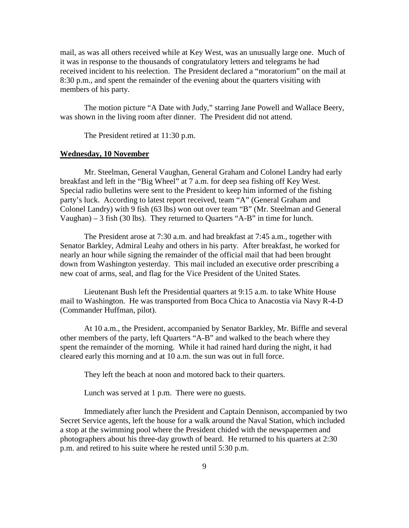mail, as was all others received while at Key West, was an unusually large one. Much of it was in response to the thousands of congratulatory letters and telegrams he had received incident to his reelection. The President declared a "moratorium" on the mail at 8:30 p.m., and spent the remainder of the evening about the quarters visiting with members of his party.

 The motion picture "A Date with Judy," starring Jane Powell and Wallace Beery, was shown in the living room after dinner. The President did not attend.

The President retired at 11:30 p.m.

## **Wednesday, 10 November**

 Mr. Steelman, General Vaughan, General Graham and Colonel Landry had early breakfast and left in the "Big Wheel" at 7 a.m. for deep sea fishing off Key West. Special radio bulletins were sent to the President to keep him informed of the fishing party's luck. According to latest report received, team "A" (General Graham and Colonel Landry) with 9 fish (63 lbs) won out over team "B" (Mr. Steelman and General Vaughan) – 3 fish (30 lbs). They returned to Quarters "A-B" in time for lunch.

 The President arose at 7:30 a.m. and had breakfast at 7:45 a.m., together with Senator Barkley, Admiral Leahy and others in his party. After breakfast, he worked for nearly an hour while signing the remainder of the official mail that had been brought down from Washington yesterday. This mail included an executive order prescribing a new coat of arms, seal, and flag for the Vice President of the United States.

 Lieutenant Bush left the Presidential quarters at 9:15 a.m. to take White House mail to Washington. He was transported from Boca Chica to Anacostia via Navy R-4-D (Commander Huffman, pilot).

 At 10 a.m., the President, accompanied by Senator Barkley, Mr. Biffle and several other members of the party, left Quarters "A-B" and walked to the beach where they spent the remainder of the morning. While it had rained hard during the night, it had cleared early this morning and at 10 a.m. the sun was out in full force.

They left the beach at noon and motored back to their quarters.

Lunch was served at 1 p.m. There were no guests.

 Immediately after lunch the President and Captain Dennison, accompanied by two Secret Service agents, left the house for a walk around the Naval Station, which included a stop at the swimming pool where the President chided with the newspapermen and photographers about his three-day growth of beard. He returned to his quarters at 2:30 p.m. and retired to his suite where he rested until 5:30 p.m.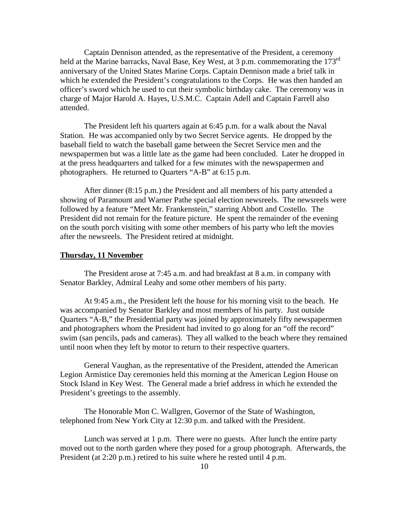Captain Dennison attended, as the representative of the President, a ceremony held at the Marine barracks, Naval Base, Key West, at 3 p.m. commemorating the 173<sup>rd</sup> anniversary of the United States Marine Corps. Captain Dennison made a brief talk in which he extended the President's congratulations to the Corps. He was then handed an officer's sword which he used to cut their symbolic birthday cake. The ceremony was in charge of Major Harold A. Hayes, U.S.M.C. Captain Adell and Captain Farrell also attended.

 The President left his quarters again at 6:45 p.m. for a walk about the Naval Station. He was accompanied only by two Secret Service agents. He dropped by the baseball field to watch the baseball game between the Secret Service men and the newspapermen but was a little late as the game had been concluded. Later he dropped in at the press headquarters and talked for a few minutes with the newspapermen and photographers. He returned to Quarters "A-B" at 6:15 p.m.

 After dinner (8:15 p.m.) the President and all members of his party attended a showing of Paramount and Warner Pathe special election newsreels. The newsreels were followed by a feature "Meet Mr. Frankenstein," starring Abbott and Costello. The President did not remain for the feature picture. He spent the remainder of the evening on the south porch visiting with some other members of his party who left the movies after the newsreels. The President retired at midnight.

#### **Thursday, 11 November**

The President arose at 7:45 a.m. and had breakfast at 8 a.m. in company with Senator Barkley, Admiral Leahy and some other members of his party.

 At 9:45 a.m., the President left the house for his morning visit to the beach. He was accompanied by Senator Barkley and most members of his party. Just outside Quarters "A-B," the Presidential party was joined by approximately fifty newspapermen and photographers whom the President had invited to go along for an "off the record" swim (san pencils, pads and cameras). They all walked to the beach where they remained until noon when they left by motor to return to their respective quarters.

 General Vaughan, as the representative of the President, attended the American Legion Armistice Day ceremonies held this morning at the American Legion House on Stock Island in Key West. The General made a brief address in which he extended the President's greetings to the assembly.

 The Honorable Mon C. Wallgren, Governor of the State of Washington, telephoned from New York City at 12:30 p.m. and talked with the President.

 Lunch was served at 1 p.m. There were no guests. After lunch the entire party moved out to the north garden where they posed for a group photograph. Afterwards, the President (at 2:20 p.m.) retired to his suite where he rested until 4 p.m.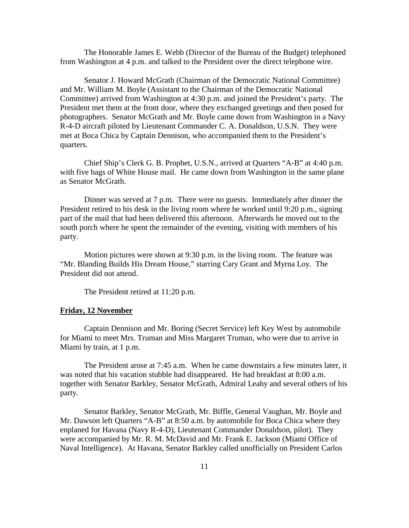The Honorable James E. Webb (Director of the Bureau of the Budget) telephoned from Washington at 4 p.m. and talked to the President over the direct telephone wire.

 Senator J. Howard McGrath (Chairman of the Democratic National Committee) and Mr. William M. Boyle (Assistant to the Chairman of the Democratic National Committee) arrived from Washington at 4:30 p.m. and joined the President's party. The President met them at the front door, where they exchanged greetings and then posed for photographers. Senator McGrath and Mr. Boyle came down from Washington in a Navy R-4-D aircraft piloted by Lieutenant Commander C. A. Donaldson, U.S.N. They were met at Boca Chica by Captain Dennison, who accompanied them to the President's quarters.

 Chief Ship's Clerk G. B. Prophet, U.S.N., arrived at Quarters "A-B" at 4:40 p.m. with five bags of White House mail. He came down from Washington in the same plane as Senator McGrath.

 Dinner was served at 7 p.m. There were no guests. Immediately after dinner the President retired to his desk in the living room where he worked until 9:20 p.m., signing part of the mail that had been delivered this afternoon. Afterwards he moved out to the south porch where he spent the remainder of the evening, visiting with members of his party.

 Motion pictures were shown at 9:30 p.m. in the living room. The feature was "Mr. Blanding Builds His Dream House," starring Cary Grant and Myrna Loy. The President did not attend.

The President retired at 11:20 p.m.

#### **Friday, 12 November**

 Captain Dennison and Mr. Boring (Secret Service) left Key West by automobile for Miami to meet Mrs. Truman and Miss Margaret Truman, who were due to arrive in Miami by train, at 1 p.m.

 The President arose at 7:45 a.m. When he came downstairs a few minutes later, it was noted that his vacation stubble had disappeared. He had breakfast at 8:00 a.m. together with Senator Barkley, Senator McGrath, Admiral Leahy and several others of his party.

 Senator Barkley, Senator McGrath, Mr. Biffle, General Vaughan, Mr. Boyle and Mr. Dawson left Quarters "A-B" at 8:50 a.m. by automobile for Boca Chica where they enplaned for Havana (Navy R-4-D), Lieutenant Commander Donaldson, pilot). They were accompanied by Mr. R. M. McDavid and Mr. Frank E. Jackson (Miami Office of Naval Intelligence). At Havana, Senator Barkley called unofficially on President Carlos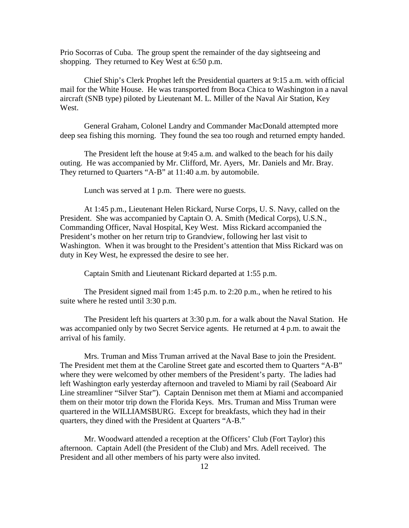Prio Socorras of Cuba. The group spent the remainder of the day sightseeing and shopping. They returned to Key West at 6:50 p.m.

 Chief Ship's Clerk Prophet left the Presidential quarters at 9:15 a.m. with official mail for the White House. He was transported from Boca Chica to Washington in a naval aircraft (SNB type) piloted by Lieutenant M. L. Miller of the Naval Air Station, Key West.

 General Graham, Colonel Landry and Commander MacDonald attempted more deep sea fishing this morning. They found the sea too rough and returned empty handed.

 The President left the house at 9:45 a.m. and walked to the beach for his daily outing. He was accompanied by Mr. Clifford, Mr. Ayers, Mr. Daniels and Mr. Bray. They returned to Quarters "A-B" at 11:40 a.m. by automobile.

Lunch was served at 1 p.m. There were no guests.

 At 1:45 p.m., Lieutenant Helen Rickard, Nurse Corps, U. S. Navy, called on the President. She was accompanied by Captain O. A. Smith (Medical Corps), U.S.N., Commanding Officer, Naval Hospital, Key West. Miss Rickard accompanied the President's mother on her return trip to Grandview, following her last visit to Washington. When it was brought to the President's attention that Miss Rickard was on duty in Key West, he expressed the desire to see her.

Captain Smith and Lieutenant Rickard departed at 1:55 p.m.

 The President signed mail from 1:45 p.m. to 2:20 p.m., when he retired to his suite where he rested until 3:30 p.m.

 The President left his quarters at 3:30 p.m. for a walk about the Naval Station. He was accompanied only by two Secret Service agents. He returned at 4 p.m. to await the arrival of his family.

 Mrs. Truman and Miss Truman arrived at the Naval Base to join the President. The President met them at the Caroline Street gate and escorted them to Quarters "A-B" where they were welcomed by other members of the President's party. The ladies had left Washington early yesterday afternoon and traveled to Miami by rail (Seaboard Air Line streamliner "Silver Star"). Captain Dennison met them at Miami and accompanied them on their motor trip down the Florida Keys. Mrs. Truman and Miss Truman were quartered in the WILLIAMSBURG. Except for breakfasts, which they had in their quarters, they dined with the President at Quarters "A-B."

 Mr. Woodward attended a reception at the Officers' Club (Fort Taylor) this afternoon. Captain Adell (the President of the Club) and Mrs. Adell received. The President and all other members of his party were also invited.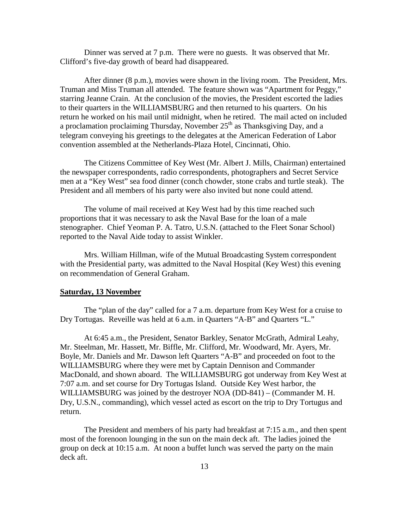Dinner was served at 7 p.m. There were no guests. It was observed that Mr. Clifford's five-day growth of beard had disappeared.

 After dinner (8 p.m.), movies were shown in the living room. The President, Mrs. Truman and Miss Truman all attended. The feature shown was "Apartment for Peggy," starring Jeanne Crain. At the conclusion of the movies, the President escorted the ladies to their quarters in the WILLIAMSBURG and then returned to his quarters. On his return he worked on his mail until midnight, when he retired. The mail acted on included a proclamation proclaiming Thursday, November  $25<sup>th</sup>$  as Thanksgiving Day, and a telegram conveying his greetings to the delegates at the American Federation of Labor convention assembled at the Netherlands-Plaza Hotel, Cincinnati, Ohio.

 The Citizens Committee of Key West (Mr. Albert J. Mills, Chairman) entertained the newspaper correspondents, radio correspondents, photographers and Secret Service men at a "Key West" sea food dinner (conch chowder, stone crabs and turtle steak). The President and all members of his party were also invited but none could attend.

 The volume of mail received at Key West had by this time reached such proportions that it was necessary to ask the Naval Base for the loan of a male stenographer. Chief Yeoman P. A. Tatro, U.S.N. (attached to the Fleet Sonar School) reported to the Naval Aide today to assist Winkler.

 Mrs. William Hillman, wife of the Mutual Broadcasting System correspondent with the Presidential party, was admitted to the Naval Hospital (Key West) this evening on recommendation of General Graham.

#### **Saturday, 13 November**

The "plan of the day" called for a 7 a.m. departure from Key West for a cruise to Dry Tortugas. Reveille was held at 6 a.m. in Quarters "A-B" and Quarters "L."

 At 6:45 a.m., the President, Senator Barkley, Senator McGrath, Admiral Leahy, Mr. Steelman, Mr. Hassett, Mr. Biffle, Mr. Clifford, Mr. Woodward, Mr. Ayers, Mr. Boyle, Mr. Daniels and Mr. Dawson left Quarters "A-B" and proceeded on foot to the WILLIAMSBURG where they were met by Captain Dennison and Commander MacDonald, and shown aboard. The WILLIAMSBURG got underway from Key West at 7:07 a.m. and set course for Dry Tortugas Island. Outside Key West harbor, the WILLIAMSBURG was joined by the destroyer NOA (DD-841) – (Commander M. H. Dry, U.S.N., commanding), which vessel acted as escort on the trip to Dry Tortugus and return.

 The President and members of his party had breakfast at 7:15 a.m., and then spent most of the forenoon lounging in the sun on the main deck aft. The ladies joined the group on deck at 10:15 a.m. At noon a buffet lunch was served the party on the main deck aft.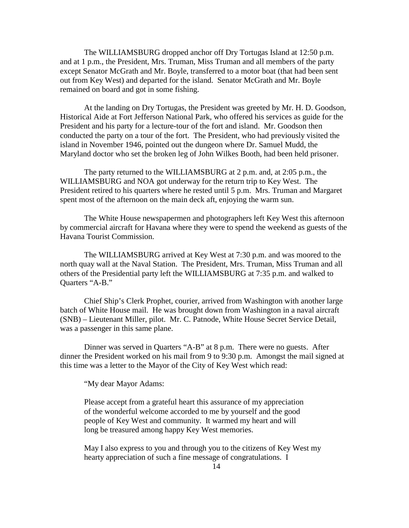The WILLIAMSBURG dropped anchor off Dry Tortugas Island at 12:50 p.m. and at 1 p.m., the President, Mrs. Truman, Miss Truman and all members of the party except Senator McGrath and Mr. Boyle, transferred to a motor boat (that had been sent out from Key West) and departed for the island. Senator McGrath and Mr. Boyle remained on board and got in some fishing.

 At the landing on Dry Tortugas, the President was greeted by Mr. H. D. Goodson, Historical Aide at Fort Jefferson National Park, who offered his services as guide for the President and his party for a lecture-tour of the fort and island. Mr. Goodson then conducted the party on a tour of the fort. The President, who had previously visited the island in November 1946, pointed out the dungeon where Dr. Samuel Mudd, the Maryland doctor who set the broken leg of John Wilkes Booth, had been held prisoner.

 The party returned to the WILLIAMSBURG at 2 p.m. and, at 2:05 p.m., the WILLIAMSBURG and NOA got underway for the return trip to Key West. The President retired to his quarters where he rested until 5 p.m. Mrs. Truman and Margaret spent most of the afternoon on the main deck aft, enjoying the warm sun.

 The White House newspapermen and photographers left Key West this afternoon by commercial aircraft for Havana where they were to spend the weekend as guests of the Havana Tourist Commission.

 The WILLIAMSBURG arrived at Key West at 7:30 p.m. and was moored to the north quay wall at the Naval Station. The President, Mrs. Truman, Miss Truman and all others of the Presidential party left the WILLIAMSBURG at 7:35 p.m. and walked to Quarters "A-B."

 Chief Ship's Clerk Prophet, courier, arrived from Washington with another large batch of White House mail. He was brought down from Washington in a naval aircraft (SNB) – Lieutenant Miller, pilot. Mr. C. Patnode, White House Secret Service Detail, was a passenger in this same plane.

 Dinner was served in Quarters "A-B" at 8 p.m. There were no guests. After dinner the President worked on his mail from 9 to 9:30 p.m. Amongst the mail signed at this time was a letter to the Mayor of the City of Key West which read:

"My dear Mayor Adams:

Please accept from a grateful heart this assurance of my appreciation of the wonderful welcome accorded to me by yourself and the good people of Key West and community. It warmed my heart and will long be treasured among happy Key West memories.

May I also express to you and through you to the citizens of Key West my hearty appreciation of such a fine message of congratulations. I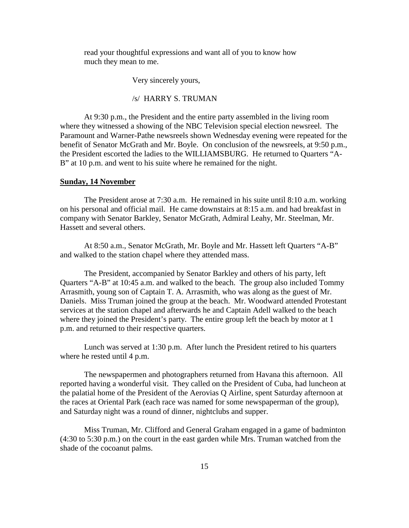read your thoughtful expressions and want all of you to know how much they mean to me.

Very sincerely yours,

/s/ HARRY S. TRUMAN

At 9:30 p.m., the President and the entire party assembled in the living room where they witnessed a showing of the NBC Television special election newsreel. The Paramount and Warner-Pathe newsreels shown Wednesday evening were repeated for the benefit of Senator McGrath and Mr. Boyle. On conclusion of the newsreels, at 9:50 p.m., the President escorted the ladies to the WILLIAMSBURG. He returned to Quarters "A-B" at 10 p.m. and went to his suite where he remained for the night.

#### **Sunday, 14 November**

 The President arose at 7:30 a.m. He remained in his suite until 8:10 a.m. working on his personal and official mail. He came downstairs at 8:15 a.m. and had breakfast in company with Senator Barkley, Senator McGrath, Admiral Leahy, Mr. Steelman, Mr. Hassett and several others.

 At 8:50 a.m., Senator McGrath, Mr. Boyle and Mr. Hassett left Quarters "A-B" and walked to the station chapel where they attended mass.

 The President, accompanied by Senator Barkley and others of his party, left Quarters "A-B" at 10:45 a.m. and walked to the beach. The group also included Tommy Arrasmith, young son of Captain T. A. Arrasmith, who was along as the guest of Mr. Daniels. Miss Truman joined the group at the beach. Mr. Woodward attended Protestant services at the station chapel and afterwards he and Captain Adell walked to the beach where they joined the President's party. The entire group left the beach by motor at 1 p.m. and returned to their respective quarters.

 Lunch was served at 1:30 p.m. After lunch the President retired to his quarters where he rested until 4 p.m.

 The newspapermen and photographers returned from Havana this afternoon. All reported having a wonderful visit. They called on the President of Cuba, had luncheon at the palatial home of the President of the Aerovias Q Airline, spent Saturday afternoon at the races at Oriental Park (each race was named for some newspaperman of the group), and Saturday night was a round of dinner, nightclubs and supper.

 Miss Truman, Mr. Clifford and General Graham engaged in a game of badminton (4:30 to 5:30 p.m.) on the court in the east garden while Mrs. Truman watched from the shade of the cocoanut palms.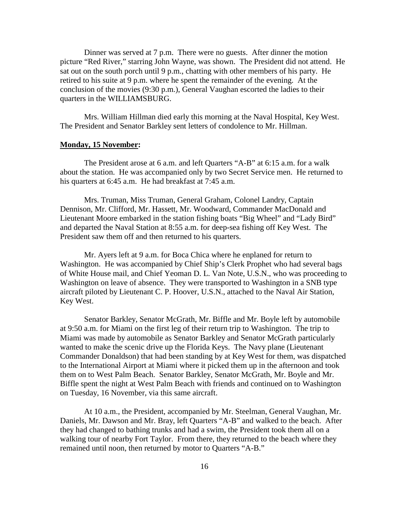Dinner was served at 7 p.m. There were no guests. After dinner the motion picture "Red River," starring John Wayne, was shown. The President did not attend. He sat out on the south porch until 9 p.m., chatting with other members of his party. He retired to his suite at 9 p.m. where he spent the remainder of the evening. At the conclusion of the movies (9:30 p.m.), General Vaughan escorted the ladies to their quarters in the WILLIAMSBURG.

 Mrs. William Hillman died early this morning at the Naval Hospital, Key West. The President and Senator Barkley sent letters of condolence to Mr. Hillman.

## **Monday, 15 November:**

The President arose at 6 a.m. and left Quarters "A-B" at 6:15 a.m. for a walk about the station. He was accompanied only by two Secret Service men. He returned to his quarters at 6:45 a.m. He had breakfast at 7:45 a.m.

 Mrs. Truman, Miss Truman, General Graham, Colonel Landry, Captain Dennison, Mr. Clifford, Mr. Hassett, Mr. Woodward, Commander MacDonald and Lieutenant Moore embarked in the station fishing boats "Big Wheel" and "Lady Bird" and departed the Naval Station at 8:55 a.m. for deep-sea fishing off Key West. The President saw them off and then returned to his quarters.

 Mr. Ayers left at 9 a.m. for Boca Chica where he enplaned for return to Washington. He was accompanied by Chief Ship's Clerk Prophet who had several bags of White House mail, and Chief Yeoman D. L. Van Note, U.S.N., who was proceeding to Washington on leave of absence. They were transported to Washington in a SNB type aircraft piloted by Lieutenant C. P. Hoover, U.S.N., attached to the Naval Air Station, Key West.

 Senator Barkley, Senator McGrath, Mr. Biffle and Mr. Boyle left by automobile at 9:50 a.m. for Miami on the first leg of their return trip to Washington. The trip to Miami was made by automobile as Senator Barkley and Senator McGrath particularly wanted to make the scenic drive up the Florida Keys. The Navy plane (Lieutenant Commander Donaldson) that had been standing by at Key West for them, was dispatched to the International Airport at Miami where it picked them up in the afternoon and took them on to West Palm Beach. Senator Barkley, Senator McGrath, Mr. Boyle and Mr. Biffle spent the night at West Palm Beach with friends and continued on to Washington on Tuesday, 16 November, via this same aircraft.

 At 10 a.m., the President, accompanied by Mr. Steelman, General Vaughan, Mr. Daniels, Mr. Dawson and Mr. Bray, left Quarters "A-B" and walked to the beach. After they had changed to bathing trunks and had a swim, the President took them all on a walking tour of nearby Fort Taylor. From there, they returned to the beach where they remained until noon, then returned by motor to Quarters "A-B."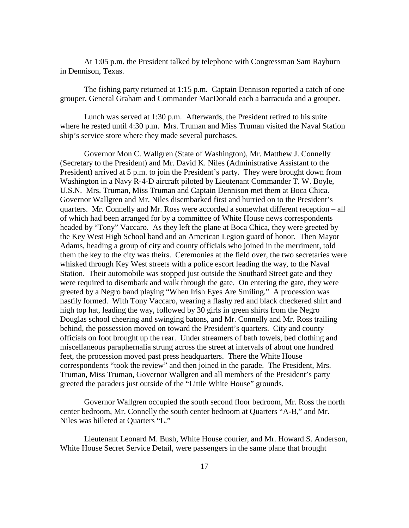At 1:05 p.m. the President talked by telephone with Congressman Sam Rayburn in Dennison, Texas.

 The fishing party returned at 1:15 p.m. Captain Dennison reported a catch of one grouper, General Graham and Commander MacDonald each a barracuda and a grouper.

 Lunch was served at 1:30 p.m. Afterwards, the President retired to his suite where he rested until 4:30 p.m. Mrs. Truman and Miss Truman visited the Naval Station ship's service store where they made several purchases.

 Governor Mon C. Wallgren (State of Washington), Mr. Matthew J. Connelly (Secretary to the President) and Mr. David K. Niles (Administrative Assistant to the President) arrived at 5 p.m. to join the President's party. They were brought down from Washington in a Navy R-4-D aircraft piloted by Lieutenant Commander T. W. Boyle, U.S.N. Mrs. Truman, Miss Truman and Captain Dennison met them at Boca Chica. Governor Wallgren and Mr. Niles disembarked first and hurried on to the President's quarters. Mr. Connelly and Mr. Ross were accorded a somewhat different reception – all of which had been arranged for by a committee of White House news correspondents headed by "Tony" Vaccaro. As they left the plane at Boca Chica, they were greeted by the Key West High School band and an American Legion guard of honor. Then Mayor Adams, heading a group of city and county officials who joined in the merriment, told them the key to the city was theirs. Ceremonies at the field over, the two secretaries were whisked through Key West streets with a police escort leading the way, to the Naval Station. Their automobile was stopped just outside the Southard Street gate and they were required to disembark and walk through the gate. On entering the gate, they were greeted by a Negro band playing "When Irish Eyes Are Smiling." A procession was hastily formed. With Tony Vaccaro, wearing a flashy red and black checkered shirt and high top hat, leading the way, followed by 30 girls in green shirts from the Negro Douglas school cheering and swinging batons, and Mr. Connelly and Mr. Ross trailing behind, the possession moved on toward the President's quarters. City and county officials on foot brought up the rear. Under streamers of bath towels, bed clothing and miscellaneous paraphernalia strung across the street at intervals of about one hundred feet, the procession moved past press headquarters. There the White House correspondents "took the review" and then joined in the parade. The President, Mrs. Truman, Miss Truman, Governor Wallgren and all members of the President's party greeted the paraders just outside of the "Little White House" grounds.

 Governor Wallgren occupied the south second floor bedroom, Mr. Ross the north center bedroom, Mr. Connelly the south center bedroom at Quarters "A-B," and Mr. Niles was billeted at Quarters "L."

 Lieutenant Leonard M. Bush, White House courier, and Mr. Howard S. Anderson, White House Secret Service Detail, were passengers in the same plane that brought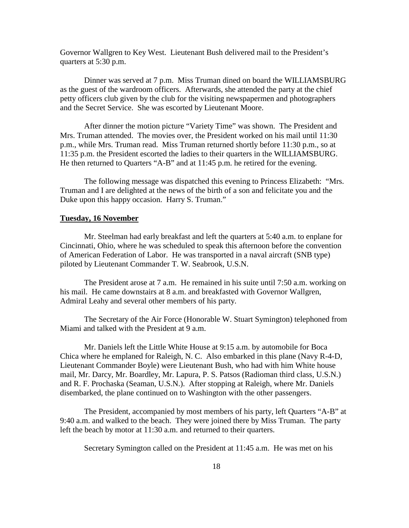Governor Wallgren to Key West. Lieutenant Bush delivered mail to the President's quarters at 5:30 p.m.

 Dinner was served at 7 p.m. Miss Truman dined on board the WILLIAMSBURG as the guest of the wardroom officers. Afterwards, she attended the party at the chief petty officers club given by the club for the visiting newspapermen and photographers and the Secret Service. She was escorted by Lieutenant Moore.

 After dinner the motion picture "Variety Time" was shown. The President and Mrs. Truman attended. The movies over, the President worked on his mail until 11:30 p.m., while Mrs. Truman read. Miss Truman returned shortly before 11:30 p.m., so at 11:35 p.m. the President escorted the ladies to their quarters in the WILLIAMSBURG. He then returned to Quarters "A-B" and at 11:45 p.m. he retired for the evening.

 The following message was dispatched this evening to Princess Elizabeth: "Mrs. Truman and I are delighted at the news of the birth of a son and felicitate you and the Duke upon this happy occasion. Harry S. Truman."

## **Tuesday, 16 November**

Mr. Steelman had early breakfast and left the quarters at 5:40 a.m. to enplane for Cincinnati, Ohio, where he was scheduled to speak this afternoon before the convention of American Federation of Labor. He was transported in a naval aircraft (SNB type) piloted by Lieutenant Commander T. W. Seabrook, U.S.N.

 The President arose at 7 a.m. He remained in his suite until 7:50 a.m. working on his mail. He came downstairs at 8 a.m. and breakfasted with Governor Wallgren, Admiral Leahy and several other members of his party.

 The Secretary of the Air Force (Honorable W. Stuart Symington) telephoned from Miami and talked with the President at 9 a.m.

 Mr. Daniels left the Little White House at 9:15 a.m. by automobile for Boca Chica where he emplaned for Raleigh, N. C. Also embarked in this plane (Navy R-4-D, Lieutenant Commander Boyle) were Lieutenant Bush, who had with him White house mail, Mr. Darcy, Mr. Boardley, Mr. Lapura, P. S. Patsos (Radioman third class, U.S.N.) and R. F. Prochaska (Seaman, U.S.N.). After stopping at Raleigh, where Mr. Daniels disembarked, the plane continued on to Washington with the other passengers.

 The President, accompanied by most members of his party, left Quarters "A-B" at 9:40 a.m. and walked to the beach. They were joined there by Miss Truman. The party left the beach by motor at 11:30 a.m. and returned to their quarters.

Secretary Symington called on the President at 11:45 a.m. He was met on his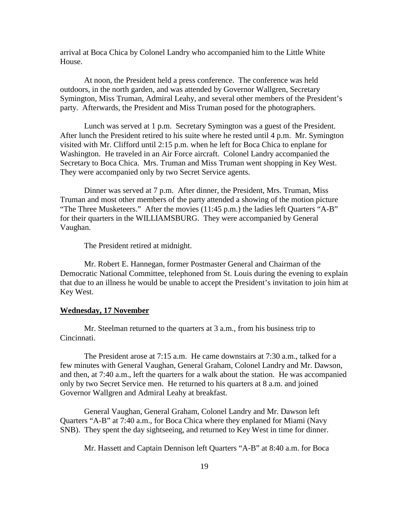arrival at Boca Chica by Colonel Landry who accompanied him to the Little White House.

 At noon, the President held a press conference. The conference was held outdoors, in the north garden, and was attended by Governor Wallgren, Secretary Symington, Miss Truman, Admiral Leahy, and several other members of the President's party. Afterwards, the President and Miss Truman posed for the photographers.

 Lunch was served at 1 p.m. Secretary Symington was a guest of the President. After lunch the President retired to his suite where he rested until 4 p.m. Mr. Symington visited with Mr. Clifford until 2:15 p.m. when he left for Boca Chica to enplane for Washington. He traveled in an Air Force aircraft. Colonel Landry accompanied the Secretary to Boca Chica. Mrs. Truman and Miss Truman went shopping in Key West. They were accompanied only by two Secret Service agents.

 Dinner was served at 7 p.m. After dinner, the President, Mrs. Truman, Miss Truman and most other members of the party attended a showing of the motion picture "The Three Musketeers." After the movies (11:45 p.m.) the ladies left Quarters "A-B" for their quarters in the WILLIAMSBURG. They were accompanied by General Vaughan.

The President retired at midnight.

 Mr. Robert E. Hannegan, former Postmaster General and Chairman of the Democratic National Committee, telephoned from St. Louis during the evening to explain that due to an illness he would be unable to accept the President's invitation to join him at Key West.

#### **Wednesday, 17 November**

Mr. Steelman returned to the quarters at 3 a.m., from his business trip to Cincinnati.

 The President arose at 7:15 a.m. He came downstairs at 7:30 a.m., talked for a few minutes with General Vaughan, General Graham, Colonel Landry and Mr. Dawson, and then, at 7:40 a.m., left the quarters for a walk about the station. He was accompanied only by two Secret Service men. He returned to his quarters at 8 a.m. and joined Governor Wallgren and Admiral Leahy at breakfast.

 General Vaughan, General Graham, Colonel Landry and Mr. Dawson left Quarters "A-B" at 7:40 a.m., for Boca Chica where they enplaned for Miami (Navy SNB). They spent the day sightseeing, and returned to Key West in time for dinner.

Mr. Hassett and Captain Dennison left Quarters "A-B" at 8:40 a.m. for Boca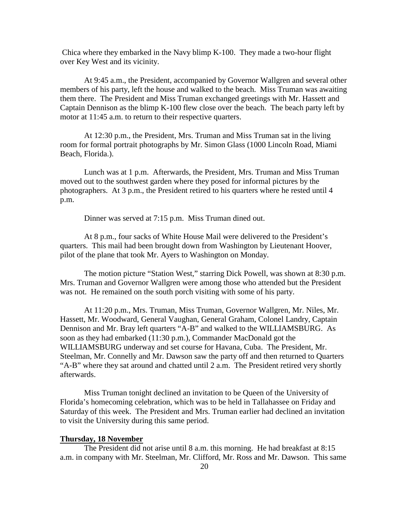Chica where they embarked in the Navy blimp K-100. They made a two-hour flight over Key West and its vicinity.

 At 9:45 a.m., the President, accompanied by Governor Wallgren and several other members of his party, left the house and walked to the beach. Miss Truman was awaiting them there. The President and Miss Truman exchanged greetings with Mr. Hassett and Captain Dennison as the blimp K-100 flew close over the beach. The beach party left by motor at 11:45 a.m. to return to their respective quarters.

 At 12:30 p.m., the President, Mrs. Truman and Miss Truman sat in the living room for formal portrait photographs by Mr. Simon Glass (1000 Lincoln Road, Miami Beach, Florida.).

 Lunch was at 1 p.m. Afterwards, the President, Mrs. Truman and Miss Truman moved out to the southwest garden where they posed for informal pictures by the photographers. At 3 p.m., the President retired to his quarters where he rested until 4 p.m.

Dinner was served at 7:15 p.m. Miss Truman dined out.

 At 8 p.m., four sacks of White House Mail were delivered to the President's quarters. This mail had been brought down from Washington by Lieutenant Hoover, pilot of the plane that took Mr. Ayers to Washington on Monday.

 The motion picture "Station West," starring Dick Powell, was shown at 8:30 p.m. Mrs. Truman and Governor Wallgren were among those who attended but the President was not. He remained on the south porch visiting with some of his party.

 At 11:20 p.m., Mrs. Truman, Miss Truman, Governor Wallgren, Mr. Niles, Mr. Hassett, Mr. Woodward, General Vaughan, General Graham, Colonel Landry, Captain Dennison and Mr. Bray left quarters "A-B" and walked to the WILLIAMSBURG. As soon as they had embarked (11:30 p.m.), Commander MacDonald got the WILLIAMSBURG underway and set course for Havana, Cuba. The President, Mr. Steelman, Mr. Connelly and Mr. Dawson saw the party off and then returned to Quarters "A-B" where they sat around and chatted until 2 a.m. The President retired very shortly afterwards.

 Miss Truman tonight declined an invitation to be Queen of the University of Florida's homecoming celebration, which was to be held in Tallahassee on Friday and Saturday of this week. The President and Mrs. Truman earlier had declined an invitation to visit the University during this same period.

## **Thursday, 18 November**

 The President did not arise until 8 a.m. this morning. He had breakfast at 8:15 a.m. in company with Mr. Steelman, Mr. Clifford, Mr. Ross and Mr. Dawson. This same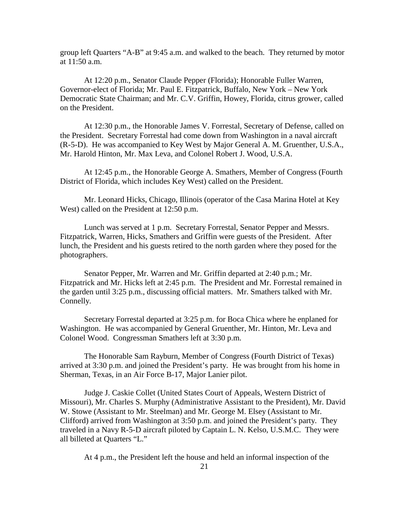group left Quarters "A-B" at 9:45 a.m. and walked to the beach. They returned by motor at 11:50 a.m.

 At 12:20 p.m., Senator Claude Pepper (Florida); Honorable Fuller Warren, Governor-elect of Florida; Mr. Paul E. Fitzpatrick, Buffalo, New York – New York Democratic State Chairman; and Mr. C.V. Griffin, Howey, Florida, citrus grower, called on the President.

 At 12:30 p.m., the Honorable James V. Forrestal, Secretary of Defense, called on the President. Secretary Forrestal had come down from Washington in a naval aircraft (R-5-D). He was accompanied to Key West by Major General A. M. Gruenther, U.S.A., Mr. Harold Hinton, Mr. Max Leva, and Colonel Robert J. Wood, U.S.A.

 At 12:45 p.m., the Honorable George A. Smathers, Member of Congress (Fourth District of Florida, which includes Key West) called on the President.

 Mr. Leonard Hicks, Chicago, Illinois (operator of the Casa Marina Hotel at Key West) called on the President at 12:50 p.m.

 Lunch was served at 1 p.m. Secretary Forrestal, Senator Pepper and Messrs. Fitzpatrick, Warren, Hicks, Smathers and Griffin were guests of the President. After lunch, the President and his guests retired to the north garden where they posed for the photographers.

 Senator Pepper, Mr. Warren and Mr. Griffin departed at 2:40 p.m.; Mr. Fitzpatrick and Mr. Hicks left at 2:45 p.m. The President and Mr. Forrestal remained in the garden until 3:25 p.m., discussing official matters. Mr. Smathers talked with Mr. Connelly.

 Secretary Forrestal departed at 3:25 p.m. for Boca Chica where he enplaned for Washington. He was accompanied by General Gruenther, Mr. Hinton, Mr. Leva and Colonel Wood. Congressman Smathers left at 3:30 p.m.

 The Honorable Sam Rayburn, Member of Congress (Fourth District of Texas) arrived at 3:30 p.m. and joined the President's party. He was brought from his home in Sherman, Texas, in an Air Force B-17, Major Lanier pilot.

 Judge J. Caskie Collet (United States Court of Appeals, Western District of Missouri), Mr. Charles S. Murphy (Administrative Assistant to the President), Mr. David W. Stowe (Assistant to Mr. Steelman) and Mr. George M. Elsey (Assistant to Mr. Clifford) arrived from Washington at 3:50 p.m. and joined the President's party. They traveled in a Navy R-5-D aircraft piloted by Captain L. N. Kelso, U.S.M.C. They were all billeted at Quarters "L."

At 4 p.m., the President left the house and held an informal inspection of the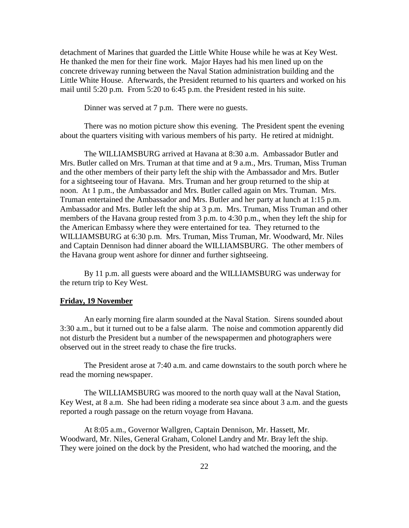detachment of Marines that guarded the Little White House while he was at Key West. He thanked the men for their fine work. Major Hayes had his men lined up on the concrete driveway running between the Naval Station administration building and the Little White House. Afterwards, the President returned to his quarters and worked on his mail until 5:20 p.m. From 5:20 to 6:45 p.m. the President rested in his suite.

Dinner was served at 7 p.m. There were no guests.

 There was no motion picture show this evening. The President spent the evening about the quarters visiting with various members of his party. He retired at midnight.

 The WILLIAMSBURG arrived at Havana at 8:30 a.m. Ambassador Butler and Mrs. Butler called on Mrs. Truman at that time and at 9 a.m., Mrs. Truman, Miss Truman and the other members of their party left the ship with the Ambassador and Mrs. Butler for a sightseeing tour of Havana. Mrs. Truman and her group returned to the ship at noon. At 1 p.m., the Ambassador and Mrs. Butler called again on Mrs. Truman. Mrs. Truman entertained the Ambassador and Mrs. Butler and her party at lunch at 1:15 p.m. Ambassador and Mrs. Butler left the ship at 3 p.m. Mrs. Truman, Miss Truman and other members of the Havana group rested from 3 p.m. to 4:30 p.m., when they left the ship for the American Embassy where they were entertained for tea. They returned to the WILLIAMSBURG at 6:30 p.m. Mrs. Truman, Miss Truman, Mr. Woodward, Mr. Niles and Captain Dennison had dinner aboard the WILLIAMSBURG. The other members of the Havana group went ashore for dinner and further sightseeing.

 By 11 p.m. all guests were aboard and the WILLIAMSBURG was underway for the return trip to Key West.

#### **Friday, 19 November**

 An early morning fire alarm sounded at the Naval Station. Sirens sounded about 3:30 a.m., but it turned out to be a false alarm. The noise and commotion apparently did not disturb the President but a number of the newspapermen and photographers were observed out in the street ready to chase the fire trucks.

 The President arose at 7:40 a.m. and came downstairs to the south porch where he read the morning newspaper.

 The WILLIAMSBURG was moored to the north quay wall at the Naval Station, Key West, at 8 a.m. She had been riding a moderate sea since about 3 a.m. and the guests reported a rough passage on the return voyage from Havana.

 At 8:05 a.m., Governor Wallgren, Captain Dennison, Mr. Hassett, Mr. Woodward, Mr. Niles, General Graham, Colonel Landry and Mr. Bray left the ship. They were joined on the dock by the President, who had watched the mooring, and the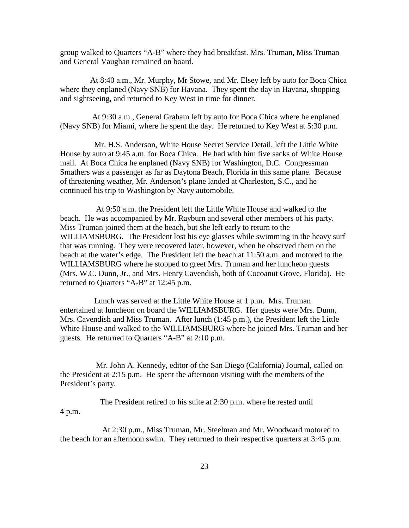group walked to Quarters "A-B" where they had breakfast. Mrs. Truman, Miss Truman and General Vaughan remained on board.

 At 8:40 a.m., Mr. Murphy, Mr Stowe, and Mr. Elsey left by auto for Boca Chica where they enplaned (Navy SNB) for Havana. They spent the day in Havana, shopping and sightseeing, and returned to Key West in time for dinner.

 At 9:30 a.m., General Graham left by auto for Boca Chica where he enplaned (Navy SNB) for Miami, where he spent the day. He returned to Key West at 5:30 p.m.

 Mr. H.S. Anderson, White House Secret Service Detail, left the Little White House by auto at 9:45 a.m. for Boca Chica. He had with him five sacks of White House mail. At Boca Chica he enplaned (Navy SNB) for Washington, D.C. Congressman Smathers was a passenger as far as Daytona Beach, Florida in this same plane. Because of threatening weather, Mr. Anderson's plane landed at Charleston, S.C., and he continued his trip to Washington by Navy automobile.

 At 9:50 a.m. the President left the Little White House and walked to the beach. He was accompanied by Mr. Rayburn and several other members of his party. Miss Truman joined them at the beach, but she left early to return to the WILLIAMSBURG. The President lost his eye glasses while swimming in the heavy surf that was running. They were recovered later, however, when he observed them on the beach at the water's edge. The President left the beach at 11:50 a.m. and motored to the WILLIAMSBURG where he stopped to greet Mrs. Truman and her luncheon guests (Mrs. W.C. Dunn, Jr., and Mrs. Henry Cavendish, both of Cocoanut Grove, Florida). He returned to Quarters "A-B" at 12:45 p.m.

 Lunch was served at the Little White House at 1 p.m. Mrs. Truman entertained at luncheon on board the WILLIAMSBURG. Her guests were Mrs. Dunn, Mrs. Cavendish and Miss Truman. After lunch (1:45 p.m.), the President left the Little White House and walked to the WILLIAMSBURG where he joined Mrs. Truman and her guests. He returned to Quarters "A-B" at 2:10 p.m.

 Mr. John A. Kennedy, editor of the San Diego (California) Journal, called on the President at 2:15 p.m. He spent the afternoon visiting with the members of the President's party.

 The President retired to his suite at 2:30 p.m. where he rested until 4 p.m.

 At 2:30 p.m., Miss Truman, Mr. Steelman and Mr. Woodward motored to the beach for an afternoon swim. They returned to their respective quarters at 3:45 p.m.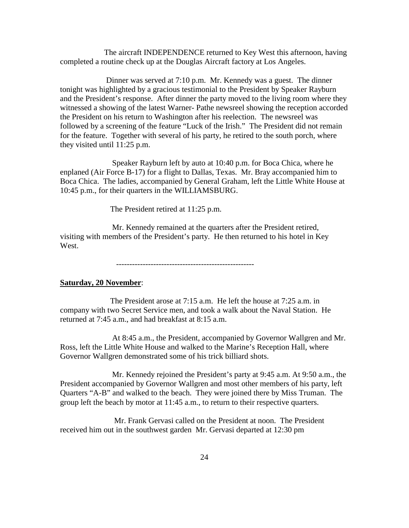The aircraft INDEPENDENCE returned to Key West this afternoon, having completed a routine check up at the Douglas Aircraft factory at Los Angeles.

 Dinner was served at 7:10 p.m. Mr. Kennedy was a guest. The dinner tonight was highlighted by a gracious testimonial to the President by Speaker Rayburn and the President's response. After dinner the party moved to the living room where they witnessed a showing of the latest Warner- Pathe newsreel showing the reception accorded the President on his return to Washington after his reelection. The newsreel was followed by a screening of the feature "Luck of the Irish." The President did not remain for the feature. Together with several of his party, he retired to the south porch, where they visited until 11:25 p.m.

 Speaker Rayburn left by auto at 10:40 p.m. for Boca Chica, where he enplaned (Air Force B-17) for a flight to Dallas, Texas. Mr. Bray accompanied him to Boca Chica. The ladies, accompanied by General Graham, left the Little White House at 10:45 p.m., for their quarters in the WILLIAMSBURG.

The President retired at 11:25 p.m.

 Mr. Kennedy remained at the quarters after the President retired, visiting with members of the President's party. He then returned to his hotel in Key West.

----------------------------------------------------

#### **Saturday, 20 November**:

 The President arose at 7:15 a.m. He left the house at 7:25 a.m. in company with two Secret Service men, and took a walk about the Naval Station. He returned at 7:45 a.m., and had breakfast at 8:15 a.m.

 At 8:45 a.m., the President, accompanied by Governor Wallgren and Mr. Ross, left the Little White House and walked to the Marine's Reception Hall, where Governor Wallgren demonstrated some of his trick billiard shots.

 Mr. Kennedy rejoined the President's party at 9:45 a.m. At 9:50 a.m., the President accompanied by Governor Wallgren and most other members of his party, left Quarters "A-B" and walked to the beach. They were joined there by Miss Truman. The group left the beach by motor at 11:45 a.m., to return to their respective quarters.

 Mr. Frank Gervasi called on the President at noon. The President received him out in the southwest garden Mr. Gervasi departed at 12:30 pm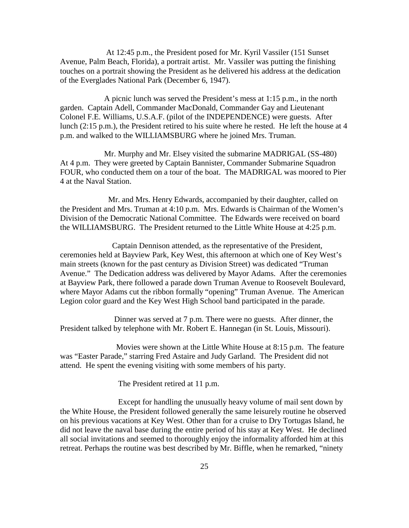At 12:45 p.m., the President posed for Mr. Kyril Vassiler (151 Sunset Avenue, Palm Beach, Florida), a portrait artist. Mr. Vassiler was putting the finishing touches on a portrait showing the President as he delivered his address at the dedication of the Everglades National Park (December 6, 1947).

 A picnic lunch was served the President's mess at 1:15 p.m., in the north garden. Captain Adell, Commander MacDonald, Commander Gay and Lieutenant Colonel F.E. Williams, U.S.A.F. (pilot of the INDEPENDENCE) were guests. After lunch (2:15 p.m.), the President retired to his suite where he rested. He left the house at 4 p.m. and walked to the WILLIAMSBURG where he joined Mrs. Truman.

 Mr. Murphy and Mr. Elsey visited the submarine MADRIGAL (SS-480) At 4 p.m. They were greeted by Captain Bannister, Commander Submarine Squadron FOUR, who conducted them on a tour of the boat. The MADRIGAL was moored to Pier 4 at the Naval Station.

 Mr. and Mrs. Henry Edwards, accompanied by their daughter, called on the President and Mrs. Truman at 4:10 p.m. Mrs. Edwards is Chairman of the Women's Division of the Democratic National Committee. The Edwards were received on board the WILLIAMSBURG. The President returned to the Little White House at 4:25 p.m.

 Captain Dennison attended, as the representative of the President, ceremonies held at Bayview Park, Key West, this afternoon at which one of Key West's main streets (known for the past century as Division Street) was dedicated "Truman Avenue." The Dedication address was delivered by Mayor Adams. After the ceremonies at Bayview Park, there followed a parade down Truman Avenue to Roosevelt Boulevard, where Mayor Adams cut the ribbon formally "opening" Truman Avenue. The American Legion color guard and the Key West High School band participated in the parade.

 Dinner was served at 7 p.m. There were no guests. After dinner, the President talked by telephone with Mr. Robert E. Hannegan (in St. Louis, Missouri).

 Movies were shown at the Little White House at 8:15 p.m. The feature was "Easter Parade," starring Fred Astaire and Judy Garland. The President did not attend. He spent the evening visiting with some members of his party.

The President retired at 11 p.m.

 Except for handling the unusually heavy volume of mail sent down by the White House, the President followed generally the same leisurely routine he observed on his previous vacations at Key West. Other than for a cruise to Dry Tortugas Island, he did not leave the naval base during the entire period of his stay at Key West. He declined all social invitations and seemed to thoroughly enjoy the informality afforded him at this retreat. Perhaps the routine was best described by Mr. Biffle, when he remarked, "ninety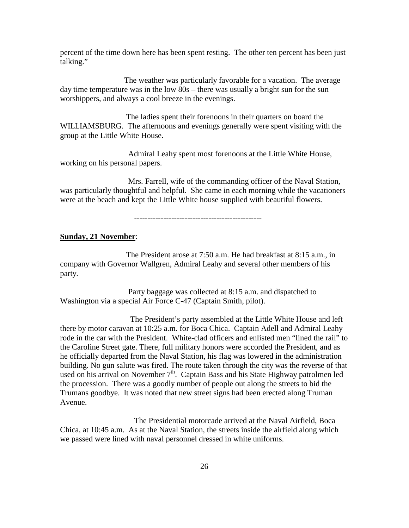percent of the time down here has been spent resting. The other ten percent has been just talking."

 The weather was particularly favorable for a vacation. The average day time temperature was in the low 80s – there was usually a bright sun for the sun worshippers, and always a cool breeze in the evenings.

 The ladies spent their forenoons in their quarters on board the WILLIAMSBURG. The afternoons and evenings generally were spent visiting with the group at the Little White House.

 Admiral Leahy spent most forenoons at the Little White House, working on his personal papers.

 Mrs. Farrell, wife of the commanding officer of the Naval Station, was particularly thoughtful and helpful. She came in each morning while the vacationers were at the beach and kept the Little White house supplied with beautiful flowers.

------------------------------------------------

#### **Sunday, 21 November**:

 The President arose at 7:50 a.m. He had breakfast at 8:15 a.m., in company with Governor Wallgren, Admiral Leahy and several other members of his party.

 Party baggage was collected at 8:15 a.m. and dispatched to Washington via a special Air Force C-47 (Captain Smith, pilot).

 The President's party assembled at the Little White House and left there by motor caravan at 10:25 a.m. for Boca Chica. Captain Adell and Admiral Leahy rode in the car with the President. White-clad officers and enlisted men "lined the rail" to the Caroline Street gate. There, full military honors were accorded the President, and as he officially departed from the Naval Station, his flag was lowered in the administration building. No gun salute was fired. The route taken through the city was the reverse of that used on his arrival on November 7<sup>th</sup>. Captain Bass and his State Highway patrolmen led the procession. There was a goodly number of people out along the streets to bid the Trumans goodbye. It was noted that new street signs had been erected along Truman Avenue.

 The Presidential motorcade arrived at the Naval Airfield, Boca Chica, at 10:45 a.m. As at the Naval Station, the streets inside the airfield along which we passed were lined with naval personnel dressed in white uniforms.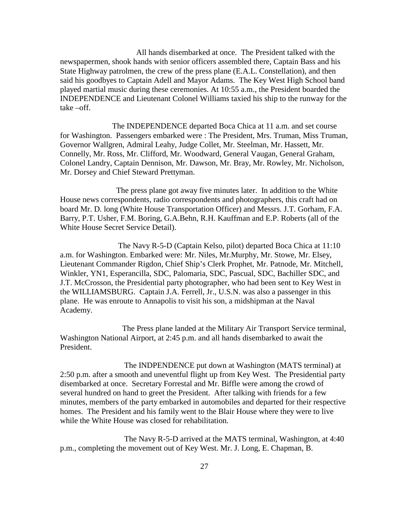All hands disembarked at once. The President talked with the newspapermen, shook hands with senior officers assembled there, Captain Bass and his State Highway patrolmen, the crew of the press plane (E.A.L. Constellation), and then said his goodbyes to Captain Adell and Mayor Adams. The Key West High School band played martial music during these ceremonies. At 10:55 a.m., the President boarded the INDEPENDENCE and Lieutenant Colonel Williams taxied his ship to the runway for the take –off.

 The INDEPENDENCE departed Boca Chica at 11 a.m. and set course for Washington. Passengers embarked were : The President, Mrs. Truman, Miss Truman, Governor Wallgren, Admiral Leahy, Judge Collet, Mr. Steelman, Mr. Hassett, Mr. Connelly, Mr. Ross, Mr. Clifford, Mr. Woodward, General Vaugan, General Graham, Colonel Landry, Captain Dennison, Mr. Dawson, Mr. Bray, Mr. Rowley, Mr. Nicholson, Mr. Dorsey and Chief Steward Prettyman.

 The press plane got away five minutes later. In addition to the White House news correspondents, radio correspondents and photographers, this craft had on board Mr. D. long (White House Transportation Officer) and Messrs. J.T. Gorham, F.A. Barry, P.T. Usher, F.M. Boring, G.A.Behn, R.H. Kauffman and E.P. Roberts (all of the White House Secret Service Detail).

 The Navy R-5-D (Captain Kelso, pilot) departed Boca Chica at 11:10 a.m. for Washington. Embarked were: Mr. Niles, Mr.Murphy, Mr. Stowe, Mr. Elsey, Lieutenant Commander Rigdon, Chief Ship's Clerk Prophet, Mr. Patnode, Mr. Mitchell, Winkler, YN1, Esperancilla, SDC, Palomaria, SDC, Pascual, SDC, Bachiller SDC, and J.T. McCrosson, the Presidential party photographer, who had been sent to Key West in the WILLIAMSBURG. Captain J.A. Ferrell, Jr., U.S.N. was also a passenger in this plane. He was enroute to Annapolis to visit his son, a midshipman at the Naval Academy.

 The Press plane landed at the Military Air Transport Service terminal, Washington National Airport, at 2:45 p.m. and all hands disembarked to await the President.

 The INDPENDENCE put down at Washington (MATS terminal) at 2:50 p.m. after a smooth and uneventful flight up from Key West. The Presidential party disembarked at once. Secretary Forrestal and Mr. Biffle were among the crowd of several hundred on hand to greet the President. After talking with friends for a few minutes, members of the party embarked in automobiles and departed for their respective homes. The President and his family went to the Blair House where they were to live while the White House was closed for rehabilitation.

 The Navy R-5-D arrived at the MATS terminal, Washington, at 4:40 p.m., completing the movement out of Key West. Mr. J. Long, E. Chapman, B.